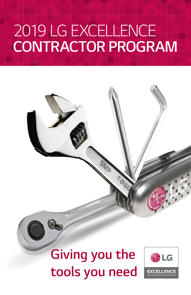# *2019 LG EXCELLENCE CONTRACTOR PROGRAM*

# **Giving you the tools you need**

FORGE

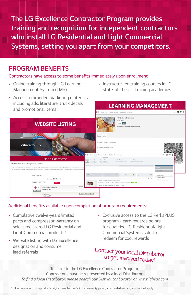*The LG Excellence Contractor Program provides training and recognition for independent contractors who install LG Residential and Light Commercial*  **Systems, setting you apart from your competitors.**

### *PROGRAM BENEFITS*

#### Contractors have access to some benefits immediately upon enrollment

- *•* Online training through LG Learning *Management System (LMS)*
- *•* Instructor-led training courses in LG *state-of-the-art training academies*

*LEARNING MANAGEMENT* 

*• Access to branded marketing materials*  including ads, literature, truck decals, *and promotional items*



#### Additional benefits available upon completion of program requirements:

- *•* Cumulative twelve-years limited *parts and compressor warranty on select registered LG Residential and*  Light Commercial products*<sup>1</sup>*
- *• Website listing with LG Excellence*  designation and consumer *lead referrals*
- *•* Exclusive access to the LG PerksPLUS *program - earn rewards points*  for qualified LG Residential/Light *Commercial Systems sold to redeem for cool rewards*

### Contact your local Distributor *to get involved today!*

*To enroll in the LG Excellence Contractor Program,*  Contractors must be represented by a local Distributor. *To find a local Distributor, please search our Distributor Locator on www.lghvac.com*

1. Upon expiration of the product's original manufacturer's limited warranty period, an extended warranty contract will apply.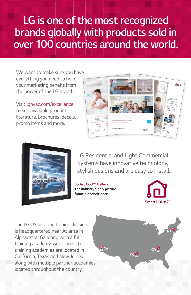### *LG is one of the most recognized*  **brands globally with products sold in**  *over 100 countries around the world.*

We want to make sure you have everything you need to help your marketing benefit from *the power of the LG brand.* 

*Visit* lghvac.com/excellence to see available product literature, brochures, decals, *promo items and more.*





*LG Residential and Light Commercial Systems have innovative technology, stylish designs and are easy to install.*

**LG Art Cool™ Gallery The Industry's only picture**  *frame air conditioner*



*The LG US air conditioning division*  is headquartered near Atlanta in Alpharetta, Ga along with a full *training academy. Additional LG training academies are located in California, Texas and New Jersey*  along with multiple partner academies located throughout the country.